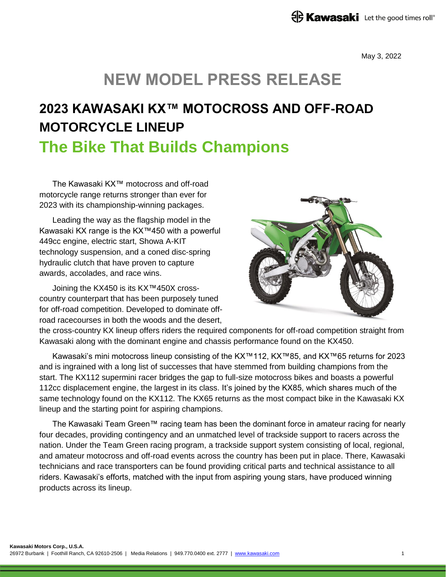May 3, 2022

# **NEW MODEL PRESS RELEASE**

# **2023 KAWASAKI KX™ MOTOCROSS AND OFF-ROAD MOTORCYCLE LINEUP The Bike That Builds Champions**

The Kawasaki KX™ motocross and off-road motorcycle range returns stronger than ever for 2023 with its championship-winning packages.

Leading the way as the flagship model in the Kawasaki KX range is the KX™450 with a powerful 449cc engine, electric start, Showa A-KIT technology suspension, and a coned disc-spring hydraulic clutch that have proven to capture awards, accolades, and race wins.

Joining the KX450 is its KX™450X crosscountry counterpart that has been purposely tuned for off-road competition. Developed to dominate offroad racecourses in both the woods and the desert,



the cross-country KX lineup offers riders the required components for off-road competition straight from Kawasaki along with the dominant engine and chassis performance found on the KX450.

Kawasaki's mini motocross lineup consisting of the KX™112, KX™85, and KX™65 returns for 2023 and is ingrained with a long list of successes that have stemmed from building champions from the start. The KX112 supermini racer bridges the gap to full-size motocross bikes and boasts a powerful 112cc displacement engine, the largest in its class. It's joined by the KX85, which shares much of the same technology found on the KX112. The KX65 returns as the most compact bike in the Kawasaki KX lineup and the starting point for aspiring champions.

The Kawasaki Team Green™ racing team has been the dominant force in amateur racing for nearly four decades, providing contingency and an unmatched level of trackside support to racers across the nation. Under the Team Green racing program, a trackside support system consisting of local, regional, and amateur motocross and off-road events across the country has been put in place. There, Kawasaki technicians and race transporters can be found providing critical parts and technical assistance to all riders. Kawasaki's efforts, matched with the input from aspiring young stars, have produced winning products across its lineup.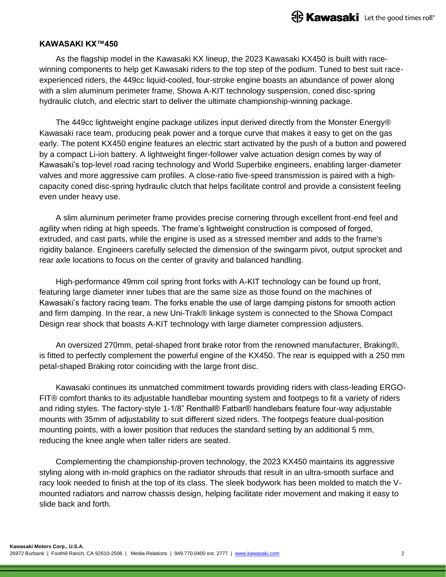### **KAWASAKI KX™450**

As the flagship model in the Kawasaki KX lineup, the 2023 Kawasaki KX450 is built with racewinning components to help get Kawasaki riders to the top step of the podium. Tuned to best suit raceexperienced riders, the 449cc liquid-cooled, four-stroke engine boasts an abundance of power along with a slim aluminum perimeter frame, Showa A-KIT technology suspension, coned disc-spring hydraulic clutch, and electric start to deliver the ultimate championship-winning package.

The 449cc lightweight engine package utilizes input derived directly from the Monster Energy® Kawasaki race team, producing peak power and a torque curve that makes it easy to get on the gas early. The potent KX450 engine features an electric start activated by the push of a button and powered by a compact Li-ion battery. A lightweight finger-follower valve actuation design comes by way of Kawasaki's top-level road racing technology and World Superbike engineers, enabling larger-diameter valves and more aggressive cam profiles. A close-ratio five-speed transmission is paired with a highcapacity coned disc-spring hydraulic clutch that helps facilitate control and provide a consistent feeling even under heavy use.

A slim aluminum perimeter frame provides precise cornering through excellent front-end feel and agility when riding at high speeds. The frame's lightweight construction is composed of forged, extruded, and cast parts, while the engine is used as a stressed member and adds to the frame's rigidity balance. Engineers carefully selected the dimension of the swingarm pivot, output sprocket and rear axle locations to focus on the center of gravity and balanced handling.

High-performance 49mm coil spring front forks with A-KIT technology can be found up front, featuring large diameter inner tubes that are the same size as those found on the machines of Kawasaki's factory racing team. The forks enable the use of large damping pistons for smooth action and firm damping. In the rear, a new Uni-Trak® linkage system is connected to the Showa Compact Design rear shock that boasts A-KIT technology with large diameter compression adjusters.

An oversized 270mm, petal-shaped front brake rotor from the renowned manufacturer, Braking®, is fitted to perfectly complement the powerful engine of the KX450. The rear is equipped with a 250 mm petal-shaped Braking rotor coinciding with the large front disc.

Kawasaki continues its unmatched commitment towards providing riders with class-leading ERGO-FIT® comfort thanks to its adjustable handlebar mounting system and footpegs to fit a variety of riders and riding styles. The factory-style 1-1/8" Renthal® Fatbar® handlebars feature four-way adjustable mounts with 35mm of adjustability to suit different sized riders. The footpegs feature dual-position mounting points, with a lower position that reduces the standard setting by an additional 5 mm, reducing the knee angle when taller riders are seated.

Complementing the championship-proven technology, the 2023 KX450 maintains its aggressive styling along with in-mold graphics on the radiator shrouds that result in an ultra-smooth surface and racy look needed to finish at the top of its class. The sleek bodywork has been molded to match the Vmounted radiators and narrow chassis design, helping facilitate rider movement and making it easy to slide back and forth.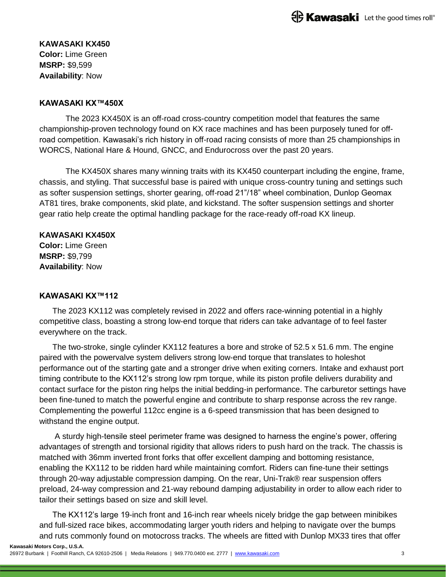**KAWASAKI KX450 Color:** Lime Green **MSRP:** \$9,599 **Availability**: Now

### **KAWASAKI KX™450X**

The 2023 KX450X is an off-road cross-country competition model that features the same championship-proven technology found on KX race machines and has been purposely tuned for offroad competition. Kawasaki's rich history in off-road racing consists of more than 25 championships in WORCS, National Hare & Hound, GNCC, and Endurocross over the past 20 years.

The KX450X shares many winning traits with its KX450 counterpart including the engine, frame, chassis, and styling. That successful base is paired with unique cross-country tuning and settings such as softer suspension settings, shorter gearing, off-road 21"/18" wheel combination, Dunlop Geomax AT81 tires, brake components, skid plate, and kickstand. The softer suspension settings and shorter gear ratio help create the optimal handling package for the race-ready off-road KX lineup.

#### **KAWASAKI KX450X**

**Color:** Lime Green **MSRP:** \$9,799 **Availability**: Now

### **KAWASAKI KX™112**

The 2023 KX112 was completely revised in 2022 and offers race-winning potential in a highly competitive class, boasting a strong low-end torque that riders can take advantage of to feel faster everywhere on the track.

The two-stroke, single cylinder KX112 features a bore and stroke of 52.5 x 51.6 mm. The engine paired with the powervalve system delivers strong low-end torque that translates to holeshot performance out of the starting gate and a stronger drive when exiting corners. Intake and exhaust port timing contribute to the KX112's strong low rpm torque, while its piston profile delivers durability and contact surface for the piston ring helps the initial bedding-in performance. The carburetor settings have been fine-tuned to match the powerful engine and contribute to sharp response across the rev range. Complementing the powerful 112cc engine is a 6-speed transmission that has been designed to withstand the engine output.

A sturdy high-tensile steel perimeter frame was designed to harness the engine's power, offering advantages of strength and torsional rigidity that allows riders to push hard on the track. The chassis is matched with 36mm inverted front forks that offer excellent damping and bottoming resistance, enabling the KX112 to be ridden hard while maintaining comfort. Riders can fine-tune their settings through 20-way adjustable compression damping. On the rear, Uni-Trak® rear suspension offers preload, 24-way compression and 21-way rebound damping adjustability in order to allow each rider to tailor their settings based on size and skill level.

The KX112's large 19-inch front and 16-inch rear wheels nicely bridge the gap between minibikes and full-sized race bikes, accommodating larger youth riders and helping to navigate over the bumps and ruts commonly found on motocross tracks. The wheels are fitted with Dunlop MX33 tires that offer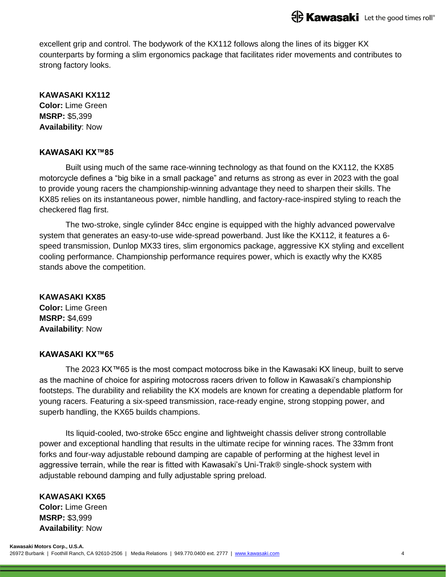excellent grip and control. The bodywork of the KX112 follows along the lines of its bigger KX counterparts by forming a slim ergonomics package that facilitates rider movements and contributes to strong factory looks.

## **KAWASAKI KX112**

**Color:** Lime Green **MSRP:** \$5,399 **Availability**: Now

## **KAWASAKI KX™85**

Built using much of the same race-winning technology as that found on the KX112, the KX85 motorcycle defines a "big bike in a small package" and returns as strong as ever in 2023 with the goal to provide young racers the championship-winning advantage they need to sharpen their skills. The KX85 relies on its instantaneous power, nimble handling, and factory-race-inspired styling to reach the checkered flag first.

The two-stroke, single cylinder 84cc engine is equipped with the highly advanced powervalve system that generates an easy-to-use wide-spread powerband. Just like the KX112, it features a 6 speed transmission, Dunlop MX33 tires, slim ergonomics package, aggressive KX styling and excellent cooling performance. Championship performance requires power, which is exactly why the KX85 stands above the competition.

# **KAWASAKI KX85**

**Color:** Lime Green **MSRP:** \$4,699 **Availability**: Now

# **KAWASAKI KX™65**

The 2023 KX™65 is the most compact motocross bike in the Kawasaki KX lineup, built to serve as the machine of choice for aspiring motocross racers driven to follow in Kawasaki's championship footsteps. The durability and reliability the KX models are known for creating a dependable platform for young racers. Featuring a six-speed transmission, race-ready engine, strong stopping power, and superb handling, the KX65 builds champions.

Its liquid-cooled, two-stroke 65cc engine and lightweight chassis deliver strong controllable power and exceptional handling that results in the ultimate recipe for winning races. The 33mm front forks and four-way adjustable rebound damping are capable of performing at the highest level in aggressive terrain, while the rear is fitted with Kawasaki's Uni-Trak® single-shock system with adjustable rebound damping and fully adjustable spring preload.

# **KAWASAKI KX65 Color:** Lime Green **MSRP:** \$3,999 **Availability**: Now